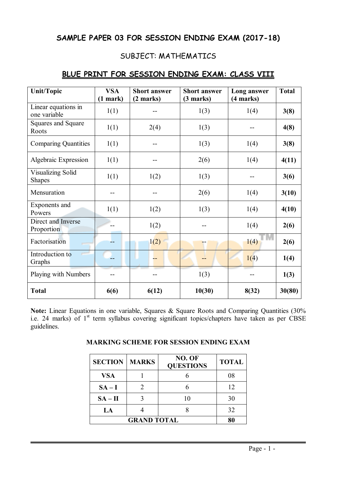# **SAMPLE PAPER 03 FOR SESSION ENDING EXAM (2017-18)**

# SUBJECT: MATHEMATICS

| <b>Unit/Topic</b>                   | <b>VSA</b><br>$(1$ mark) | <b>Short answer</b><br>(2 marks) | <b>Short answer</b><br>(3 marks) | Long answer<br>(4 marks) | <b>Total</b> |
|-------------------------------------|--------------------------|----------------------------------|----------------------------------|--------------------------|--------------|
| Linear equations in<br>one variable | 1(1)                     |                                  | 1(3)                             | 1(4)                     | 3(8)         |
| Squares and Square<br>Roots         | 1(1)                     | 2(4)                             | 1(3)                             |                          | 4(8)         |
| <b>Comparing Quantities</b>         | 1(1)                     |                                  | 1(3)                             | 1(4)                     | 3(8)         |
| Algebraic Expression                | 1(1)                     |                                  | 2(6)                             | 1(4)                     | 4(11)        |
| Visualizing Solid<br><b>Shapes</b>  | 1(1)                     | 1(2)                             | 1(3)                             |                          | 3(6)         |
| Mensuration                         |                          |                                  | 2(6)                             | 1(4)                     | 3(10)        |
| Exponents and<br>Powers             | 1(1)                     | 1(2)                             | 1(3)                             | 1(4)                     | 4(10)        |
| Direct and Inverse<br>Proportion    |                          | 1(2)                             |                                  | 1(4)                     | 2(6)         |
| Factorisation                       |                          | 1(2)                             |                                  | 1(4)                     | 2(6)         |
| Introduction to<br>Graphs           |                          |                                  |                                  | 1(4)                     | 1(4)         |
| Playing with Numbers                |                          |                                  | 1(3)                             |                          | 1(3)         |
| <b>Total</b>                        | 6(6)                     | 6(12)                            | 10(30)                           | 8(32)                    | 30(80)       |

# **BLUE PRINT FOR SESSION ENDING EXAM: CLASS VIII**

**Note:** Linear Equations in one variable, Squares & Square Roots and Comparing Quantities (30% i.e. 24 marks) of 1<sup>st</sup> term syllabus covering significant topics/chapters have taken as per CBSE guidelines.

| <b>SECTION</b> | <b>MARKS</b> | NO. OF<br><b>QUESTIONS</b> | <b>TOTAL</b> |
|----------------|--------------|----------------------------|--------------|
| <b>VSA</b>     |              |                            | 08           |
| $SA-I$         |              |                            | 12           |
| $SA - II$      |              | 10                         | 30           |
| LA             |              |                            | 32           |
|                |              |                            |              |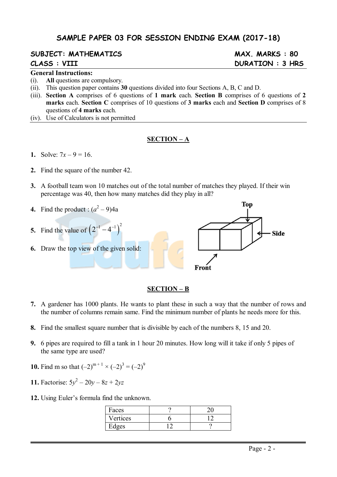# **SAMPLE PAPER 03 FOR SESSION ENDING EXAM (2017-18)**

# **SUBJECT: MATHEMATICS MAX. MARKS : 80**

### **General Instructions:**

- (i). **All** questions are compulsory.
- (ii). This question paper contains **30** questions divided into four Sections A, B, C and D.
- (iii). **Section A** comprises of 6 questions of **1 mark** each. **Section B** comprises of 6 questions of **2 marks** each. **Section C** comprises of 10 questions of **3 marks** each and **Section D** comprises of 8 questions of **4 marks** each.
- (iv). Use of Calculators is not permitted

### **SECTION – A**

- **1.** Solve:  $7x 9 = 16$ .
- **2.** Find the square of the number 42.
- **3.** A football team won 10 matches out of the total number of matches they played. If their win percentage was 40, then how many matches did they play in all?
- **4.** Find the product :  $(a^2 9)$ 4a
- **5.** Find the value of  $(2^{-1} 4^{-1})^2$
- **6.** Draw the top view of the given solid:



#### **SECTION – B**

- **7.** A gardener has 1000 plants. He wants to plant these in such a way that the number of rows and the number of columns remain same. Find the minimum number of plants he needs more for this.
- **8.** Find the smallest square number that is divisible by each of the numbers 8, 15 and 20.
- **9.** 6 pipes are required to fill a tank in 1 hour 20 minutes. How long will it take if only 5 pipes of the same type are used?
- **10.** Find m so that  $(-2)^{m+1} \times (-2)^3 = (-2)^9$
- **11.** Factorise:  $5y^2 20y 8z + 2yz$
- **12.** Using Euler's formula find the unknown.

| Faces    |  |
|----------|--|
| Vertices |  |
| dges     |  |

# **CLASS : VIII DURATION : 3 HRS**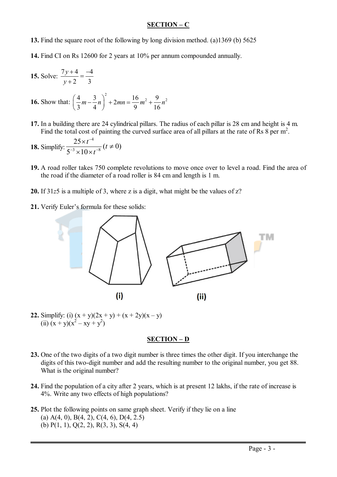### **SECTION – C**

**13.** Find the square root of the following by long division method. (a)1369 (b) 5625

**14.** Find CI on Rs 12600 for 2 years at 10% per annum compounded annually.

**15. Solve:** 
$$
\frac{7y+4}{y+2} = \frac{-4}{3}
$$
  
**16. Show that:** 
$$
\left(\frac{4}{3}m - \frac{3}{4}n\right)^2 + 2mn = \frac{16}{9}m^2 + \frac{9}{16}n^2
$$

**17.** In a building there are 24 cylindrical pillars. The radius of each pillar is 28 cm and height is 4 m. Find the total cost of painting the curved surface area of all pillars at the rate of Rs  $8$  per m<sup>2</sup>.

**18. Simplify:** 
$$
\frac{25 \times t^{-4}}{5^{-3} \times 10 \times t^{-8}} (t \neq 0)
$$

- **19.** A road roller takes 750 complete revolutions to move once over to level a road. Find the area of the road if the diameter of a road roller is 84 cm and length is 1 m.
- **20.** If 31*z*5 is a multiple of 3, where z is a digit, what might be the values of z?
- **21.** Verify Euler's formula for these solids:



**22.** Simplify: (i)  $(x + y)(2x + y) + (x + 2y)(x - y)$  $(ii)$   $(x + y)(x^2 - xy + y^2)$ 

### **SECTION – D**

- **23.** One of the two digits of a two digit number is three times the other digit. If you interchange the digits of this two-digit number and add the resulting number to the original number, you get 88. What is the original number?
- **24.** Find the population of a city after 2 years, which is at present 12 lakhs, if the rate of increase is 4%. Write any two effects of high populations?
- **25.** Plot the following points on same graph sheet. Verify if they lie on a line (a)  $A(4, 0)$ ,  $B(4, 2)$ ,  $C(4, 6)$ ,  $D(4, 2.5)$ (b) P(1, 1), Q(2, 2), R(3, 3), S(4, 4)